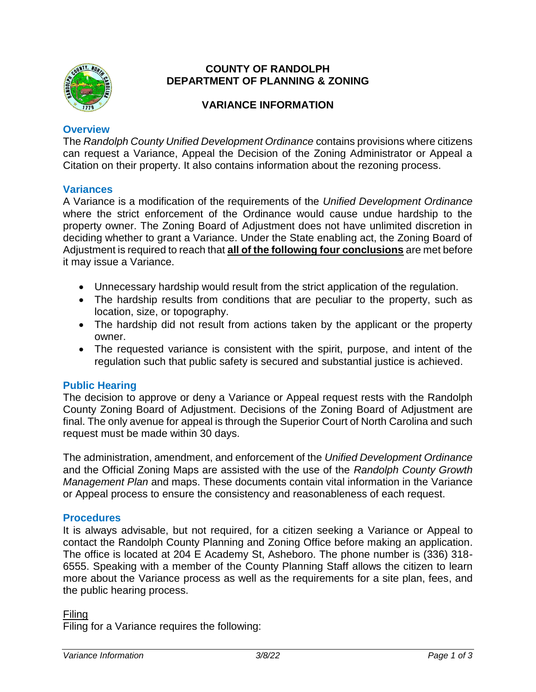

# **COUNTY OF RANDOLPH DEPARTMENT OF PLANNING & ZONING**

# **VARIANCE INFORMATION**

### **Overview**

The *Randolph County Unified Development Ordinance* contains provisions where citizens can request a Variance, Appeal the Decision of the Zoning Administrator or Appeal a Citation on their property. It also contains information about the rezoning process.

# **Variances**

A Variance is a modification of the requirements of the *Unified Development Ordinance*  where the strict enforcement of the Ordinance would cause undue hardship to the property owner. The Zoning Board of Adjustment does not have unlimited discretion in deciding whether to grant a Variance. Under the State enabling act, the Zoning Board of Adjustment is required to reach that **all of the following four conclusions** are met before it may issue a Variance.

- Unnecessary hardship would result from the strict application of the regulation.
- The hardship results from conditions that are peculiar to the property, such as location, size, or topography.
- The hardship did not result from actions taken by the applicant or the property owner.
- The requested variance is consistent with the spirit, purpose, and intent of the regulation such that public safety is secured and substantial justice is achieved.

# **Public Hearing**

The decision to approve or deny a Variance or Appeal request rests with the Randolph County Zoning Board of Adjustment. Decisions of the Zoning Board of Adjustment are final. The only avenue for appeal is through the Superior Court of North Carolina and such request must be made within 30 days.

The administration, amendment, and enforcement of the *Unified Development Ordinance* and the Official Zoning Maps are assisted with the use of the *Randolph County Growth Management Plan* and maps. These documents contain vital information in the Variance or Appeal process to ensure the consistency and reasonableness of each request.

# **Procedures**

It is always advisable, but not required, for a citizen seeking a Variance or Appeal to contact the Randolph County Planning and Zoning Office before making an application. The office is located at 204 E Academy St, Asheboro. The phone number is (336) 318- 6555. Speaking with a member of the County Planning Staff allows the citizen to learn more about the Variance process as well as the requirements for a site plan, fees, and the public hearing process.

#### Filing

Filing for a Variance requires the following: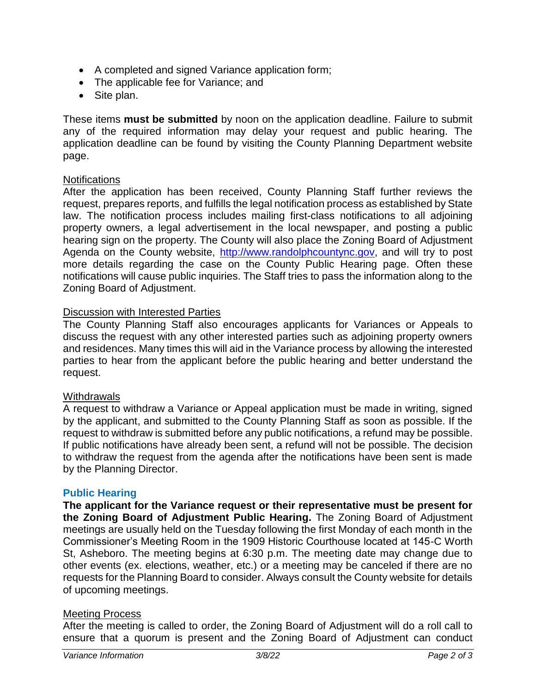- A completed and signed Variance application form;
- The applicable fee for Variance; and
- Site plan.

These items **must be submitted** by noon on the application deadline. Failure to submit any of the required information may delay your request and public hearing. The application deadline can be found by visiting the County Planning Department website page.

### Notifications

After the application has been received, County Planning Staff further reviews the request, prepares reports, and fulfills the legal notification process as established by State law. The notification process includes mailing first-class notifications to all adjoining property owners, a legal advertisement in the local newspaper, and posting a public hearing sign on the property. The County will also place the Zoning Board of Adjustment Agenda on the County website, [http://www.randolphcountync.gov,](http://www.randolphcountync.gov/) and will try to post more details regarding the case on the County Public Hearing page. Often these notifications will cause public inquiries. The Staff tries to pass the information along to the Zoning Board of Adjustment.

### Discussion with Interested Parties

The County Planning Staff also encourages applicants for Variances or Appeals to discuss the request with any other interested parties such as adjoining property owners and residences. Many times this will aid in the Variance process by allowing the interested parties to hear from the applicant before the public hearing and better understand the request.

#### **Withdrawals**

A request to withdraw a Variance or Appeal application must be made in writing, signed by the applicant, and submitted to the County Planning Staff as soon as possible. If the request to withdraw is submitted before any public notifications, a refund may be possible. If public notifications have already been sent, a refund will not be possible. The decision to withdraw the request from the agenda after the notifications have been sent is made by the Planning Director.

#### **Public Hearing**

**The applicant for the Variance request or their representative must be present for the Zoning Board of Adjustment Public Hearing.** The Zoning Board of Adjustment meetings are usually held on the Tuesday following the first Monday of each month in the Commissioner's Meeting Room in the 1909 Historic Courthouse located at 145-C Worth St, Asheboro. The meeting begins at 6:30 p.m. The meeting date may change due to other events (ex. elections, weather, etc.) or a meeting may be canceled if there are no requests for the Planning Board to consider. Always consult the County website for details of upcoming meetings.

#### Meeting Process

After the meeting is called to order, the Zoning Board of Adjustment will do a roll call to ensure that a quorum is present and the Zoning Board of Adjustment can conduct